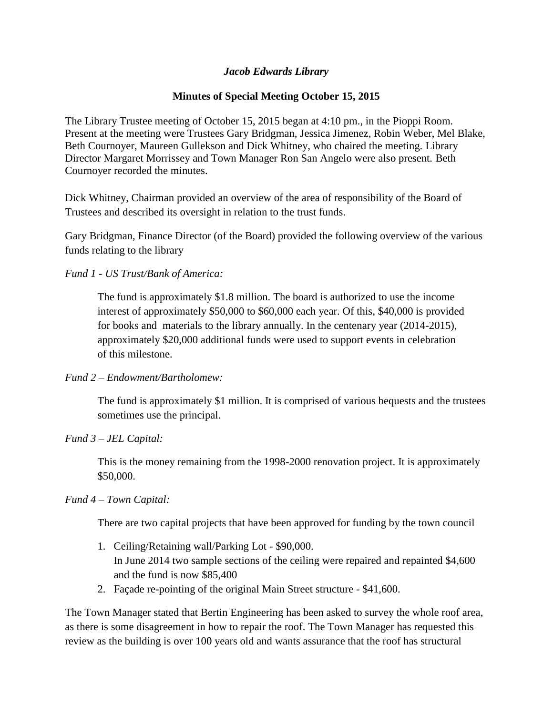## *Jacob Edwards Library*

# **Minutes of Special Meeting October 15, 2015**

The Library Trustee meeting of October 15, 2015 began at 4:10 pm., in the Pioppi Room. Present at the meeting were Trustees Gary Bridgman, Jessica Jimenez, Robin Weber, Mel Blake, Beth Cournoyer, Maureen Gullekson and Dick Whitney, who chaired the meeting. Library Director Margaret Morrissey and Town Manager Ron San Angelo were also present. Beth Cournoyer recorded the minutes.

Dick Whitney, Chairman provided an overview of the area of responsibility of the Board of Trustees and described its oversight in relation to the trust funds.

Gary Bridgman, Finance Director (of the Board) provided the following overview of the various funds relating to the library

*Fund 1 - US Trust/Bank of America:*

The fund is approximately \$1.8 million. The board is authorized to use the income interest of approximately \$50,000 to \$60,000 each year. Of this, \$40,000 is provided for books and materials to the library annually. In the centenary year (2014-2015), approximately \$20,000 additional funds were used to support events in celebration of this milestone.

## *Fund 2 – Endowment/Bartholomew:*

The fund is approximately \$1 million. It is comprised of various bequests and the trustees sometimes use the principal.

## *Fund 3 – JEL Capital:*

This is the money remaining from the 1998-2000 renovation project. It is approximately \$50,000.

## *Fund 4 – Town Capital:*

There are two capital projects that have been approved for funding by the town council

- 1. Ceiling/Retaining wall/Parking Lot \$90,000. In June 2014 two sample sections of the ceiling were repaired and repainted \$4,600 and the fund is now \$85,400
- 2. Façade re-pointing of the original Main Street structure \$41,600.

The Town Manager stated that Bertin Engineering has been asked to survey the whole roof area, as there is some disagreement in how to repair the roof. The Town Manager has requested this review as the building is over 100 years old and wants assurance that the roof has structural